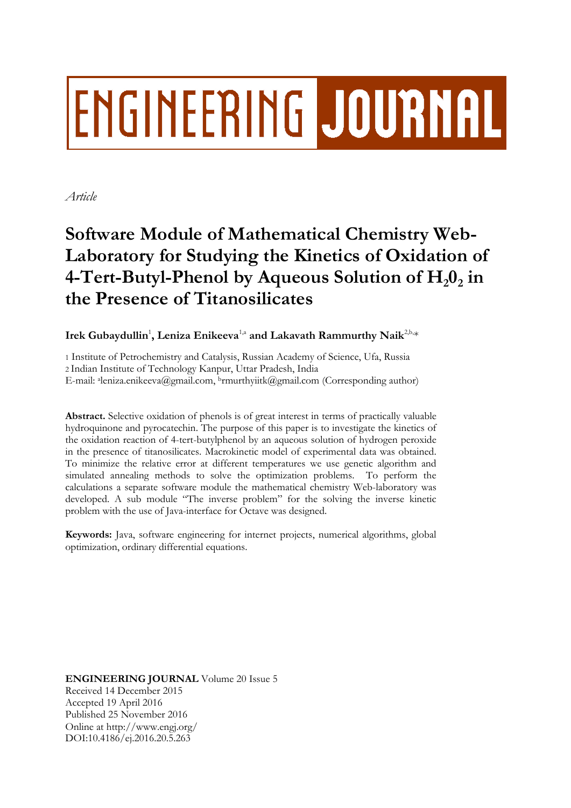# **ENGINEERING JOURNAL**

*Article*

# **Software Module of Mathematical Chemistry Web-Laboratory for Studying the Kinetics of Oxidation of 4-Tert-Butyl-Phenol by Aqueous Solution of H20<sup>2</sup> in the Presence of Titanosilicates**

Irek Gubaydullin<sup>1</sup>, Leniza Enikeeva<sup>1,a</sup> and Lakavath Rammurthy Naik<sup>2,b,</sup>\*

1 Institute of Petrochemistry and Catalysis, Russian Academy of Science, Ufa, Russia 2 Indian Institute of Technology Kanpur, Uttar Pradesh, India E-mail: <sup>a</sup> leniza.enikeeva@gmail.com, <sup>b</sup>rmurthyiitk@gmail.com (Corresponding author)

**Abstract.** Selective oxidation of phenols is of great interest in terms of practically valuable hydroquinone and pyrocatechin. The purpose of this paper is to investigate the kinetics of the oxidation reaction of 4-tert-butylphenol by an aqueous solution of hydrogen peroxide in the presence of titanosilicates. Macrokinetic model of experimental data was obtained. To minimize the relative error at different temperatures we use genetic algorithm and simulated annealing methods to solve the optimization problems. To perform the calculations a separate software module the mathematical chemistry Web-laboratory was developed. A sub module "The inverse problem" for the solving the inverse kinetic problem with the use of Java-interface for Octave was designed.

**Keywords:** Java, software engineering for internet projects, numerical algorithms, global optimization, ordinary differential equations.

**ENGINEERING JOURNAL** Volume 20 Issue 5 Received 14 December 2015 Accepted 19 April 2016 Published 25 November 2016 Online at http://www.engj.org/ DOI:10.4186/ej.2016.20.5.263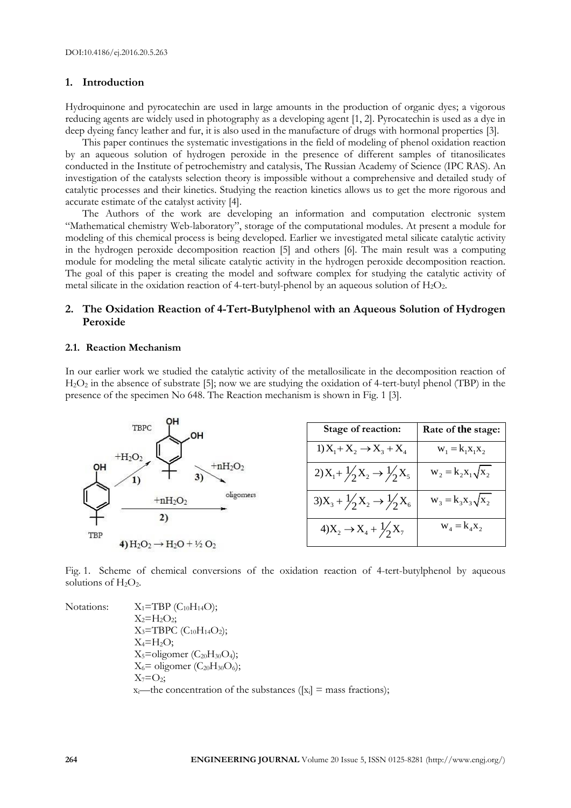### **1. Introduction**

Hydroquinone and pyrocatechin are used in large amounts in the production of organic dyes; a vigorous reducing agents are widely used in photography as a developing agent [1, 2]. Pyrocatechin is used as a dye in deep dyeing fancy leather and fur, it is also used in the manufacture of drugs with hormonal properties [3].

This paper continues the systematic investigations in the field of modeling of phenol oxidation reaction by an aqueous solution of hydrogen peroxide in the presence of different samples of titanosilicates conducted in the Institute of petrochemistry and catalysis, The Russian Academy of Science (IPC RAS). An investigation of the catalysts selection theory is impossible without a comprehensive and detailed study of catalytic processes and their kinetics. Studying the reaction kinetics allows us to get the more rigorous and accurate estimate of the catalyst activity [4].

The Authors of the work are developing an information and computation electronic system "Mathematical chemistry Web-laboratory", storage of the computational modules. At present a module for modeling of this chemical process is being developed. Earlier we investigated metal silicate catalytic activity in the hydrogen peroxide decomposition reaction [5] and others [6]. The main result was a computing module for modeling the metal silicate catalytic activity in the hydrogen peroxide decomposition reaction. The goal of this paper is creating the model and software complex for studying the catalytic activity of metal silicate in the oxidation reaction of 4-tert-butyl-phenol by an aqueous solution of  $H_2O_2$ .

# **2. The Oxidation Reaction of 4-Tert-Butylphenol with an Aqueous Solution of Hydrogen Peroxide**

#### **2.1. Reaction Mechanism**

In our earlier work we studied the catalytic activity of the metallosilicate in the decomposition reaction of H2O<sup>2</sup> in the absence of substrate [5]; now we are studying the oxidation of 4-tert-butyl phenol (TBP) in the presence of the specimen No 648. The Reaction mechanism is shown in Fig. 1 [3].



Fig. 1. Scheme of chemical conversions of the oxidation reaction of 4-tert-butylphenol by aqueous solutions of  $H_2O_2$ .

Notations:  $X_1 = TBP (C_{10}H_{14}O);$  $X_2 = H_2O_2$ ;  $X_3 = TBPC (C_{10}H_{14}O_2);$  $X_4 = H_2O;$  $X_5$ =oligomer (C<sub>20</sub>H<sub>30</sub>O<sub>4</sub>);  $X_6$ = oligomer (C<sub>20</sub>H<sub>30</sub>O<sub>6</sub>);  $X_7 = O_2$ ;  $x_i$ —the concentration of the substances ( $[x_i]$  = mass fractions);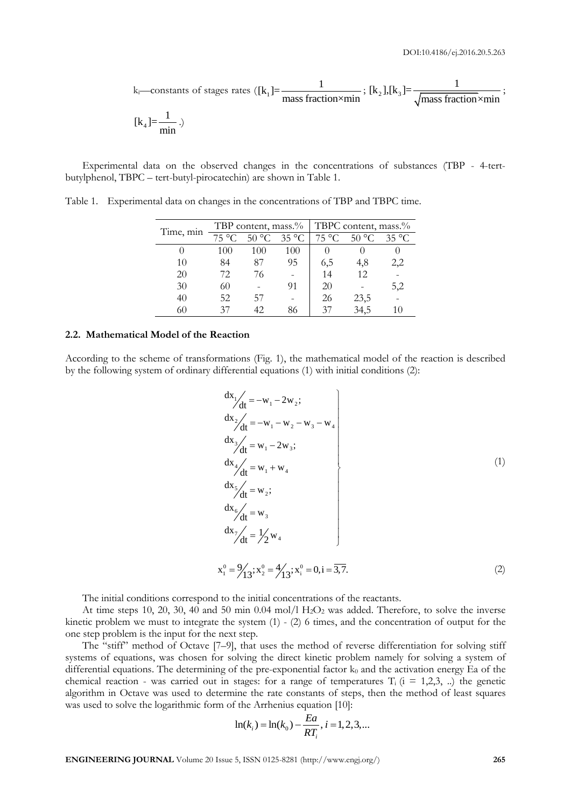k<sub>i</sub>—constants of stages rates (
$$
[k_1]
$$
= $\frac{1}{\text{mass fraction} \times \text{min}}$  ;  $[k_2]$ , $[k_3]$ = $\frac{1}{\sqrt{\text{mass fraction} \times \text{min}}}$ ;  
 $[k_4]$ = $\frac{1}{\text{min}}$ .)

Experimental data on the observed changes in the concentrations of substances (TBP - 4-tertbutylphenol, TBPC – tert-butyl-pirocatechin) are shown in Table 1.

| Time, min |       |       |                | TBP content, mass.%   TBPC content, mass.% |       |                |  |
|-----------|-------|-------|----------------|--------------------------------------------|-------|----------------|--|
|           | 75 °C | 50 °C | $35^{\circ}$ C | 75 °C                                      | 50 °C | $35^{\circ}$ C |  |
|           | 100   | 100   | 100            |                                            |       |                |  |
| 10        | 84    | 87    | 95             | 6,5                                        | 4,8   | 2,2            |  |
| 20        | 72    | 76    |                | 14                                         | 12    |                |  |
| 30        | 60    |       | 91             | 20                                         |       | 5,2            |  |
| 40        | 52    | 57    |                | 26                                         | 23,5  |                |  |
|           |       |       | 86             | 37                                         | 34,5  |                |  |

Table 1. Experimental data on changes in the concentrations of TBP and TBPC time.

#### **2.2. Mathematical Model of the Reaction**

According to the scheme of transformations (Fig. 1), the mathematical model of the reaction is described by the following system of ordinary differential equations (1) with initial conditions (2):

$$
\frac{dx_1}{dt} = -w_1 - 2w_2; \n\frac{dx_2}{dt} = -w_1 - w_2 - w_3 - w_4 \n\frac{dx_3}{dt} = w_1 - 2w_3; \n\frac{dx_4}{dt} = w_1 + w_4 \n\frac{dx_5}{dt} = w_2; \n\frac{dx_6}{dt} = w_3 \n\frac{dx_7}{dt} = \frac{1}{2}w_4 \nx_1^0 = \frac{9}{13}; x_2^0 = \frac{4}{13}; x_1^0 = 0, i = \overline{3,7}. \tag{2}
$$

The initial conditions correspond to the initial concentrations of the reactants.

At time steps 10, 20, 30, 40 and 50 min 0.04 mol/l H<sub>2</sub>O<sub>2</sub> was added. Therefore, to solve the inverse kinetic problem we must to integrate the system  $(1)$  -  $(2)$  6 times, and the concentration of output for the one step problem is the input for the next step.

The "stiff" method of Octave [7–9], that uses the method of reverse differentiation for solving stiff systems of equations, was chosen for solving the direct kinetic problem namely for solving a system of differential equations. The determining of the pre-exponential factor  $k_0$  and the activation energy Ea of the chemical reaction - was carried out in stages: for a range of temperatures  $T_i$  ( $i = 1,2,3, ...$ ) the genetic algorithm in Octave was used to determine the rate constants of steps, then the method of least squares was used to solve the logarithmic form of the Arrhenius equation [10]:

$$
\ln(k_i) = \ln(k_0) - \frac{Ea}{RT_i}, i = 1, 2, 3, \dots
$$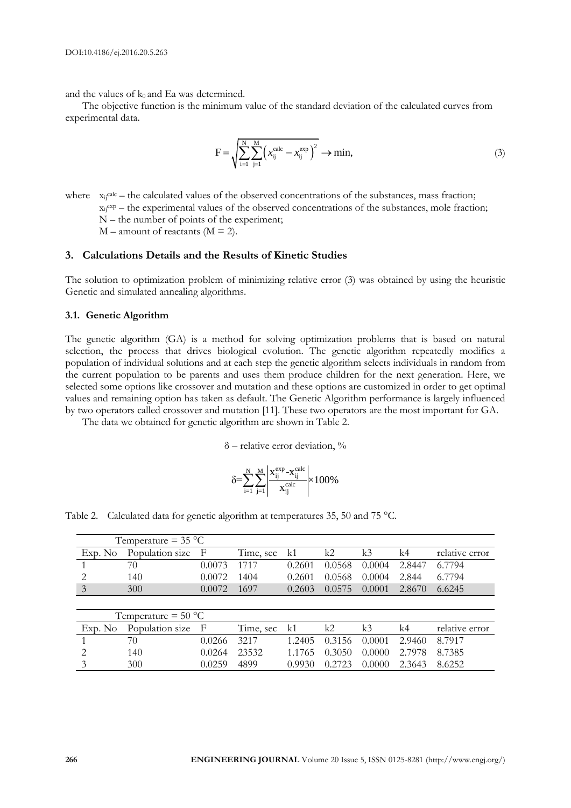and the values of  $k_0$  and Ea was determined.

The objective function is the minimum value of the standard deviation of the calculated curves from experimental data.

$$
F = \sqrt{\sum_{i=1}^{N} \sum_{j=1}^{M} (x_{ij}^{calc} - x_{ij}^{exp})^{2}} \to \min,
$$
\n(3)

where  $x_{ij}$ calc – the calculated values of the observed concentrations of the substances, mass fraction;  $x_{ij}^{exp}$  – the experimental values of the observed concentrations of the substances, mole fraction; N – the number of points of the experiment;  $M$  – amount of reactants ( $M = 2$ ).

#### **3. Calculations Details and the Results of Kinetic Studies**

The solution to optimization problem of minimizing relative error (3) was obtained by using the heuristic Genetic and simulated annealing algorithms.

#### **3.1. Genetic Algorithm**

The genetic algorithm (GA) is a method for solving optimization problems that is based on natural selection, the process that drives biological evolution. The genetic algorithm repeatedly modifies a population of individual solutions and at each step the genetic algorithm selects individuals in random from the current population to be parents and uses them produce children for the next generation. Here, we selected some options like crossover and mutation and these options are customized in order to get optimal values and remaining option has taken as default. The Genetic Algorithm performance is largely influenced by two operators called crossover and mutation [11]. These two operators are the most important for GA.

The data we obtained for genetic algorithm are shown in Table 2.

 $\delta$  – relative error deviation,  $\%$ 

$$
\delta \hspace{-0.3mm} = \hspace{-0.3mm} \sum_{i=1}^{N} \hspace{-0.3mm} \sum_{j=1}^{M} \hspace{-0.3mm} \left| \frac{x_{ij}^{exp} - \!x_{ij}^{calc}}{x_{ij}^{calc}} \right| \hspace{-0.3mm} \times \hspace{-0.3mm} 100\%
$$

|  |  | Table 2. Calculated data for genetic algorithm at temperatures 35, 50 and 75 °C. |  |
|--|--|----------------------------------------------------------------------------------|--|
|  |  |                                                                                  |  |

|                                                                                                                                                                 | Temperature = $35^{\circ}$ C |        |           |        |        |        |        |                |
|-----------------------------------------------------------------------------------------------------------------------------------------------------------------|------------------------------|--------|-----------|--------|--------|--------|--------|----------------|
| Exp. No                                                                                                                                                         | Population size              | F      | Time, sec | k1     | k2     | k3     | k4     | relative error |
|                                                                                                                                                                 | 70                           | 0.0073 | 1717      | 0.2601 | 0.0568 | 0.0004 | 2.8447 | 6.7794         |
| 2                                                                                                                                                               | 140                          | 0.0072 | 1404      | 0.2601 | 0.0568 | 0.0004 | 2.844  | 6.7794         |
| 3                                                                                                                                                               | 300                          | 0.0072 | 1697      | 0.2603 | 0.0575 | 0.0001 | 2.8670 | 6.6245         |
|                                                                                                                                                                 |                              |        |           |        |        |        |        |                |
|                                                                                                                                                                 | Temperature = $50^{\circ}$ C |        |           |        |        |        |        |                |
| Exp. No                                                                                                                                                         | Population size              | F      | Time, sec | k1     | k2     | k3     | k4     | relative error |
|                                                                                                                                                                 | 70                           | 0.0266 | 3217      | 1.2405 | 0.3156 | 0.0001 | 2.9460 | 8.7917         |
| $\mathcal{D}_{\mathcal{A}}^{\mathcal{A}}(\mathcal{A})=\mathcal{D}_{\mathcal{A}}^{\mathcal{A}}(\mathcal{A})\mathcal{D}_{\mathcal{A}}^{\mathcal{A}}(\mathcal{A})$ | 140                          | 0.0264 | 23532     | 1.1765 | 0.3050 | 0.0000 | 2.7978 | 8.7385         |
|                                                                                                                                                                 | 300                          | 0.0259 | 4899      | 0.9930 | 0.2723 | 0.0000 | 2.3643 | 8.6252         |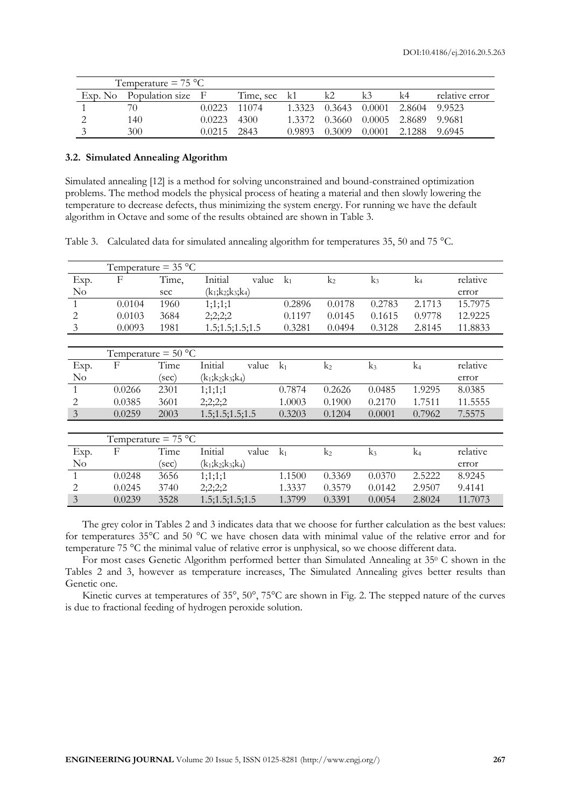|         | Temperature $= 75 °C$ |              |              |        |        |        |          |                |
|---------|-----------------------|--------------|--------------|--------|--------|--------|----------|----------------|
| Exp. No | Population size F     |              | Time, sec k1 |        | k2     |        | k4       | relative error |
|         | 70.                   | 0.0223 11074 |              | 1 3323 | 0.3643 | 0.0001 | 2.8604   | 99523          |
|         | 140                   | 0.0223       | 4300         | 1 3372 | 0.3660 | 0.0005 | - 2.8689 | - 9.9681       |
|         | 300                   | 0.0215       | 2843         | 0.9893 | 0.3009 | 0.0001 | 2.1288   | 9.6945         |

## **3.2. Simulated Annealing Algorithm**

Simulated annealing [12] is a method for solving unconstrained and bound-constrained optimization problems. The method models the physical process of heating a material and then slowly lowering the temperature to decrease defects, thus minimizing the system energy. For running we have the default algorithm in Octave and some of the results obtained are shown in Table 3.

Table 3. Calculated data for simulated annealing algorithm for temperatures 35, 50 and 75 °C.

|                | Temperature = $35^{\circ}$ C |       |                     |        |                |        |                |          |
|----------------|------------------------------|-------|---------------------|--------|----------------|--------|----------------|----------|
| Exp.           | F                            | Time, | Initial<br>value    | $k_1$  | $k_2$          | $k_3$  | k <sub>4</sub> | relative |
| $\rm No$       |                              | sec   | $(k_1;k_2;k_3;k_4)$ |        |                |        |                | error    |
| $\mathbf{1}$   | 0.0104                       | 1960  | 1;1;1;1             | 0.2896 | 0.0178         | 0.2783 | 2.1713         | 15.7975  |
| 2              | 0.0103                       | 3684  | 2;2;2;2             | 0.1197 | 0.0145         | 0.1615 | 0.9778         | 12.9225  |
| $\mathfrak{Z}$ | 0.0093                       | 1981  | 1.5; 1.5; 1.5; 1.5  | 0.3281 | 0.0494         | 0.3128 | 2.8145         | 11.8833  |
|                |                              |       |                     |        |                |        |                |          |
|                | Temperature = $50 °C$        |       |                     |        |                |        |                |          |
| Exp.           | F                            | Time  | Initial<br>value    | $k_1$  | k <sub>2</sub> | $k_3$  | k <sub>4</sub> | relative |
| $\rm No$       |                              | (sec) | $(k_1;k_2;k_3;k_4)$ |        |                |        |                | error    |
|                | 0.0266                       | 2301  | 1;1;1;1             | 0.7874 | 0.2626         | 0.0485 | 1.9295         | 8.0385   |
| 2              | 0.0385                       | 3601  | 2;2;2;2             | 1.0003 | 0.1900         | 0.2170 | 1.7511         | 11.5555  |
| 3              | 0.0259                       | 2003  | 1.5; 1.5; 1.5; 1.5  | 0.3203 | 0.1204         | 0.0001 | 0.7962         | 7.5575   |
|                |                              |       |                     |        |                |        |                |          |
|                | Temperature = $75 °C$        |       |                     |        |                |        |                |          |
| Exp.           | F                            | Time  | Initial<br>value    | $k_1$  | k <sub>2</sub> | $k_3$  | k <sub>4</sub> | relative |
| No             |                              | (sec) | $(k_1;k_2;k_3;k_4)$ |        |                |        |                | error    |
| 1              | 0.0248                       | 3656  | 1;1;1;1             | 1.1500 | 0.3369         | 0.0370 | 2.5222         | 8.9245   |
| 2              | 0.0245                       | 3740  | 2;2;2;2             | 1.3337 | 0.3579         | 0.0142 | 2.9507         | 9.4141   |
| $\mathfrak{Z}$ | 0.0239                       | 3528  | 1.5; 1.5; 1.5; 1.5  | 1.3799 | 0.3391         | 0.0054 | 2.8024         | 11.7073  |

The grey color in Tables 2 and 3 indicates data that we choose for further calculation as the best values: for temperatures 35°C and 50 °C we have chosen data with minimal value of the relative error and for temperature 75 °C the minimal value of relative error is unphysical, so we choose different data.

For most cases Genetic Algorithm performed better than Simulated Annealing at 35<sup>0</sup> C shown in the Tables 2 and 3, however as temperature increases, The Simulated Annealing gives better results than Genetic one.

Kinetic curves at temperatures of 35°, 50°, 75°C are shown in Fig. 2. The stepped nature of the curves is due to fractional feeding of hydrogen peroxide solution.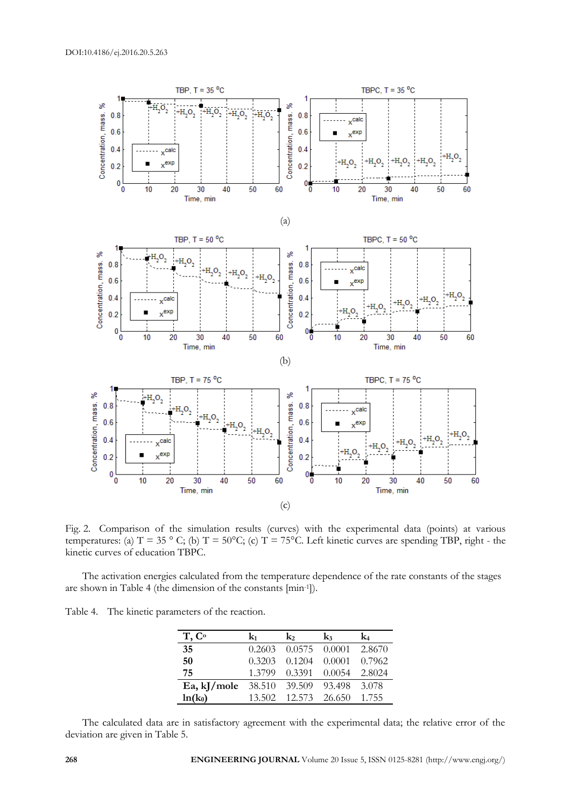

Fig. 2. Comparison of the simulation results (curves) with the experimental data (points) at various temperatures: (a)  $T = 35$  ° C; (b)  $T = 50$ °C; (c)  $T = 75$ °C. Left kinetic curves are spending TBP, right - the kinetic curves of education TBPC.

The activation energies calculated from the temperature dependence of the rate constants of the stages are shown in Table 4 (the dimension of the constants [min-1 ]).

Table 4. The kinetic parameters of the reaction.

| T, C <sup>o</sup> | kı.    | $\mathbf{k}_2$ | $k_3$             | k4     |
|-------------------|--------|----------------|-------------------|--------|
| 35                | 0.2603 | 0.0575 0.0001  |                   | 2.8670 |
| 50                | 0.3203 | 0.1204         | 0.0001            | 0.7962 |
| 75                | 1.3799 |                | $0.3391$ $0.0054$ | 2.8024 |
| Ea, $k$ J/mole    |        | 38.510 39.509  | 93.498            | 3.078  |
| $ln(k_0)$         | 13.502 |                | 12.573 26.650     | 1.755  |

The calculated data are in satisfactory agreement with the experimental data; the relative error of the deviation are given in Table 5.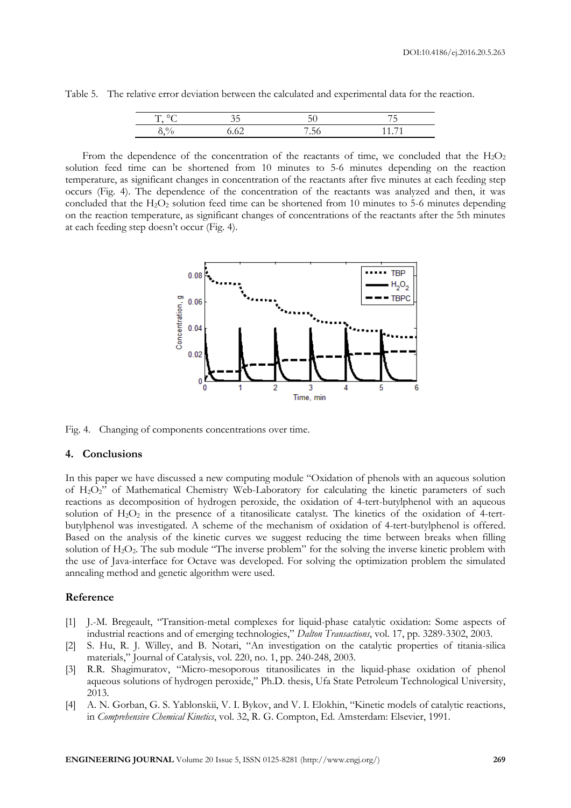Table 5. The relative error deviation between the calculated and experimental data for the reaction.

| $\circ$<br><b>.</b>     | ر . |                                              | $\overline{\phantom{0}}$<br>-<br>J |
|-------------------------|-----|----------------------------------------------|------------------------------------|
| $\Omega$<br>$\sim$<br>ັ |     | $\overline{\phantom{0}}$<br><u>в.</u><br>.JU |                                    |

From the dependence of the concentration of the reactants of time, we concluded that the  $H_2O_2$ solution feed time can be shortened from 10 minutes to 5-6 minutes depending on the reaction temperature, as significant changes in concentration of the reactants after five minutes at each feeding step occurs (Fig. 4). The dependence of the concentration of the reactants was analyzed and then, it was concluded that the  $H_2O_2$  solution feed time can be shortened from 10 minutes to 5-6 minutes depending on the reaction temperature, as significant changes of concentrations of the reactants after the 5th minutes at each feeding step doesn't occur (Fig. 4).



Fig. 4. Changing of components concentrations over time.

#### **4. Conclusions**

In this paper we have discussed a new computing module "Oxidation of phenols with an aqueous solution of H2O2" of Mathematical Chemistry Web-Laboratory for calculating the kinetic parameters of such reactions as decomposition of hydrogen peroxide, the oxidation of 4-tert-butylphenol with an aqueous solution of  $H_2O_2$  in the presence of a titanosilicate catalyst. The kinetics of the oxidation of 4-tertbutylphenol was investigated. A scheme of the mechanism of oxidation of 4-tert-butylphenol is offered. Based on the analysis of the kinetic curves we suggest reducing the time between breaks when filling solution of H<sub>2</sub>O<sub>2</sub>. The sub module "The inverse problem" for the solving the inverse kinetic problem with the use of Java-interface for Octave was developed. For solving the optimization problem the simulated annealing method and genetic algorithm were used.

#### **Reference**

- [1] J.-M. Bregeault, "Transition-metal complexes for liquid-phase catalytic oxidation: Some aspects of industrial reactions and of emerging technologies," *Dalton Transactions*, vol. 17, pp. 3289-3302, 2003.
- [2] S. Hu, R. J. Willey, and B. Notari, "An investigation on the catalytic properties of titania-silica materials," Journal of Catalysis, vol. 220, no. 1, pp. 240-248, 2003.
- [3] R.R. Shagimuratov, "Micro-mesoporous titanosilicates in the liquid-phase oxidation of phenol aqueous solutions of hydrogen peroxide," Ph.D. thesis, Ufa State Petroleum Technological University, 2013.
- [4] A. N. Gorban, G. S. Yablonskii, V. I. Bykov, and V. I. Elokhin, "Kinetic models of catalytic reactions, in *Comprehensive Chemical Kinetics*, vol. 32, R. G. Compton, Ed. Amsterdam: Elsevier, 1991.